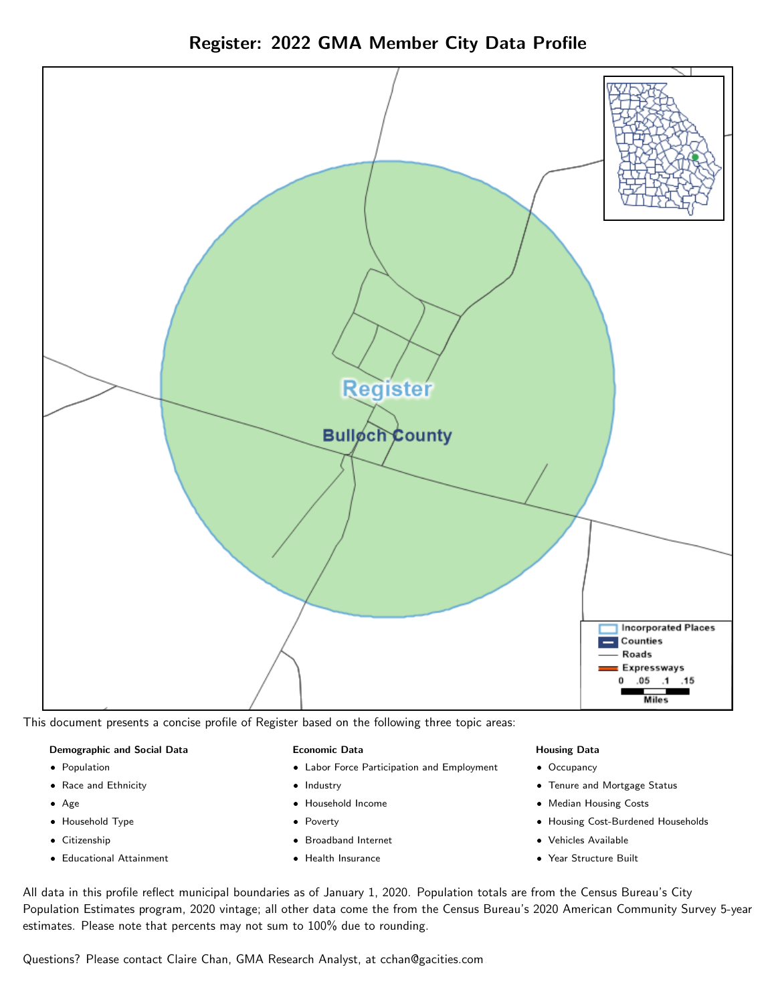Register: 2022 GMA Member City Data Profile



This document presents a concise profile of Register based on the following three topic areas:

#### Demographic and Social Data

- **•** Population
- Race and Ethnicity
- Age
- Household Type
- **Citizenship**
- Educational Attainment

#### Economic Data

- Labor Force Participation and Employment
- Industry
- Household Income
- Poverty
- Broadband Internet
- Health Insurance

#### Housing Data

- Occupancy
- Tenure and Mortgage Status
- Median Housing Costs
- Housing Cost-Burdened Households
- Vehicles Available
- Year Structure Built

All data in this profile reflect municipal boundaries as of January 1, 2020. Population totals are from the Census Bureau's City Population Estimates program, 2020 vintage; all other data come the from the Census Bureau's 2020 American Community Survey 5-year estimates. Please note that percents may not sum to 100% due to rounding.

Questions? Please contact Claire Chan, GMA Research Analyst, at [cchan@gacities.com.](mailto:cchan@gacities.com)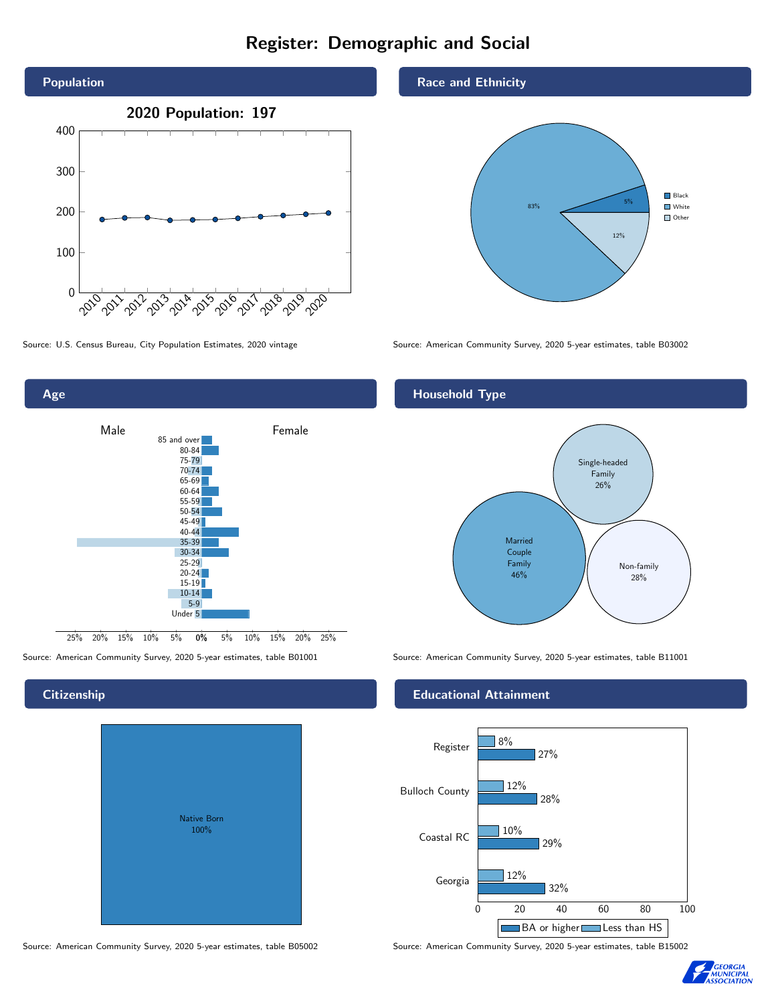# Register: Demographic and Social





# **Citizenship**

| <b>Native Born</b><br>100% |  |
|----------------------------|--|
|                            |  |

Source: American Community Survey, 2020 5-year estimates, table B05002 Source: American Community Survey, 2020 5-year estimates, table B15002

#### Race and Ethnicity



Source: U.S. Census Bureau, City Population Estimates, 2020 vintage Source: American Community Survey, 2020 5-year estimates, table B03002

#### Household Type



Source: American Community Survey, 2020 5-year estimates, table B01001 Source: American Community Survey, 2020 5-year estimates, table B11001

#### Educational Attainment



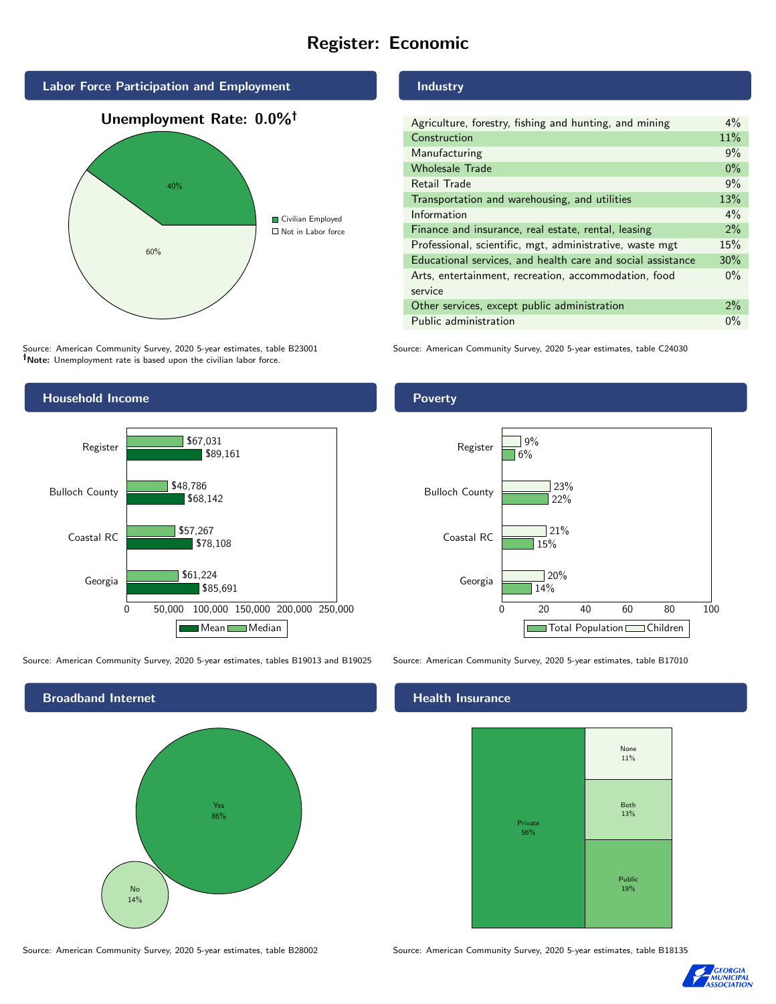# Register: Economic



Source: American Community Survey, 2020 5-year estimates, table B23001 Note: Unemployment rate is based upon the civilian labor force.



Source: American Community Survey, 2020 5-year estimates, tables B19013 and B19025 Source: American Community Survey, 2020 5-year estimates, table B17010



Source: American Community Survey, 2020 5-year estimates, table B28002 Source: American Community Survey, 2020 5-year estimates, table B18135

#### Industry

Poverty

| Agriculture, forestry, fishing and hunting, and mining      | $4\%$ |
|-------------------------------------------------------------|-------|
| Construction                                                | 11%   |
| Manufacturing                                               | 9%    |
| <b>Wholesale Trade</b>                                      | $0\%$ |
| Retail Trade                                                | 9%    |
| Transportation and warehousing, and utilities               |       |
| Information                                                 | $4\%$ |
| Finance and insurance, real estate, rental, leasing         |       |
| Professional, scientific, mgt, administrative, waste mgt    |       |
| Educational services, and health care and social assistance |       |
| Arts, entertainment, recreation, accommodation, food        |       |
| service                                                     |       |
| Other services, except public administration                |       |
| Public administration                                       |       |

Source: American Community Survey, 2020 5-year estimates, table C24030

#### 0 20 40 60 80 100 Georgia Coastal RC Bulloch County Register 14% 15% 22% 6%  $\sqrt{20\%}$ 21%  $23%$  $9%$ Total Population Children

#### Health Insurance